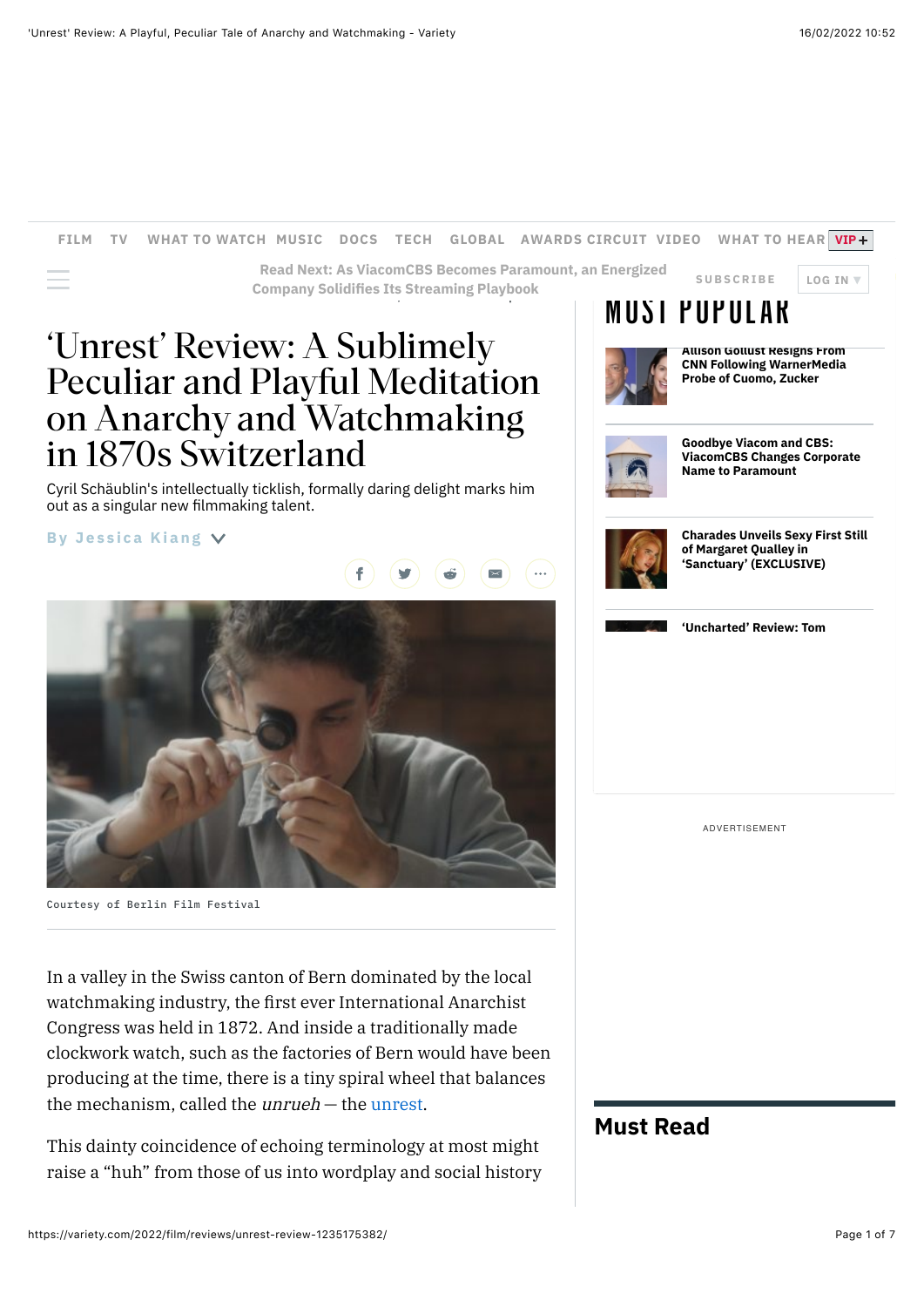'Unrest' Review: A Sublimely

in 1870s Switzerland

out as a singular new filmmaking talent.

**By [Jessica Kiang](https://variety.com/author/jessica-kiang/)**

Peculiar and Playful Meditation

on Anarchy and Watchmaking

Cyril Schäublin's intellectually ticklish, formally daring delight marks him

### **[FILM](https://variety.com/v/film/) [TV](https://variety.com/v/tv/) [WHAT TO WATCH](https://variety.com/what-to-watch-streaming-movies-shows-online/) [MUSIC](https://variety.com/v/music/) [DOCS](https://variety.com/t/documentaries-to-watch/) [TECH](https://variety.com/v/digital/) [GLOBAL](https://variety.com/c/global/) [AWARDS CIRCUIT](https://variety.com/e/contenders/) [VIDEO](https://variety.com/videos/) [WHAT TO HEAR](https://variety.com/t/what-to-hear/) [VIP](https://variety.com/vip/?cx_navsource=vip-nav-link)**



 $\equiv$  **Company Solidifies Its Streaming Playbook [SUBSCRIBE](https://subscribe.variety.com/site/variety-vip-subscribe-nav/?utm_source=site&utm_medium=VAR_TopNav_1&utm_campaign=DualShop&utm_content=DualShop) LOG IN [Read Next: As ViacomCBS Becomes Paramount, an Energized](https://variety.com/2022/film/opinion/paramount-viacomcbs-bob-bakish-streaming-1235183246/)**



**Allison Gollust Resigns From [CNN Following WarnerMedia](https://variety.com/2022/tv/news/allison-gollust-resign-cnn-warnermedia-1235183160/) Probe of Cuomo, Zucker**



**Goodbye Viacom and CBS: [ViacomCBS Changes Corporate](https://variety.com/2022/film/news/viacomcbs-paramount-corporate-name-change-1235182825/) Name to Paramount**



**[Charades Unveils Sexy First Still](https://variety.com/2022/film/global/margaret-qualley-sanctuary-first-picture-charades-1235180484/) of Margaret Qualley in 'Sanctuary' (EXCLUSIVE)**



**['Uncharted' Review: Tom](https://variety.com/2022/film/reviews/uncharted-review-tom-holland-mark-wahlberg-1235181325/)**

ADVERTISEMENT

# **Must Read**

Courtesy of Berlin Film Festival In a valley in the Swiss canton of Bern dominated by the local watchmaking industry, the first ever International Anarchist Congress was held in 1872. And inside a traditionally made clockwork watch, such as the factories of Bern would have been

producing at the time, there is a tiny spiral wheel that balances the mechanism, called the unrueh — the [unrest.](https://variety.com/t/unrest/)

This dainty coincidence of echoing terminology at most might raise a "huh" from those of us into wordplay and social history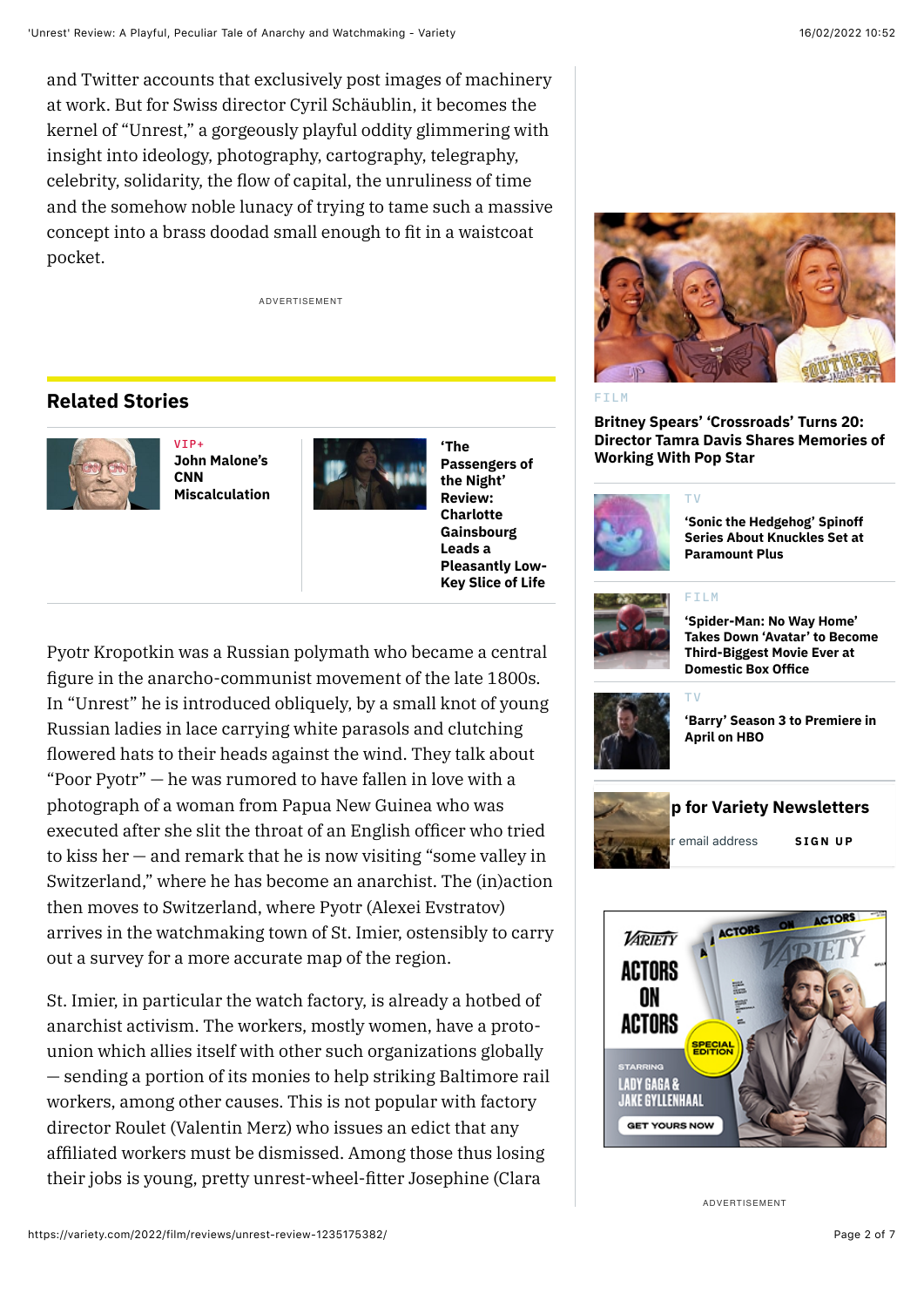and Twitter accounts that exclusively post images of machinery at work. But for Swiss director Cyril Schäublin, it becomes the kernel of "Unrest," a gorgeously playful oddity glimmering with insight into ideology, photography, cartography, telegraphy, celebrity, solidarity, the flow of capital, the unruliness of time and the somehow noble lunacy of trying to tame such a massive concept into a brass doodad small enough to fit in a waistcoat pocket.

ADVERTISEMENT

## **Related Stories**



 $VTD +$ **John Malone's CNN [Miscalculation](https://variety.com/vip/john-malones-cnn-miscalculation-1235180460/)**



**'The Passengers of the Night' Review: Charlotte Gainsbourg Leads a [Pleasantly Low-](https://variety.com/2022/film/reviews/the-passengers-of-the-night-review-les-passagers-de-la-nuit-1235182541/)Key Slice of Life**

Pyotr Kropotkin was a Russian polymath who became a central figure in the anarcho-communist movement of the late 1800s. In "Unrest" he is introduced obliquely, by a small knot of young Russian ladies in lace carrying white parasols and clutching flowered hats to their heads against the wind. They talk about "Poor Pyotr" — he was rumored to have fallen in love with a photograph of a woman from Papua New Guinea who was executed after she slit the throat of an English officer who tried to kiss her — and remark that he is now visiting "some valley in Switzerland," where he has become an anarchist. The (in)action then moves to Switzerland, where Pyotr (Alexei Evstratov) arrives in the watchmaking town of St. Imier, ostensibly to carry out a survey for a more accurate map of the region.

St. Imier, in particular the watch factory, is already a hotbed of anarchist activism. The workers, mostly women, have a protounion which allies itself with other such organizations globally — sending a portion of its monies to help striking Baltimore rail workers, among other causes. This is not popular with factory director Roulet (Valentin Merz) who issues an edict that any affiliated workers must be dismissed. Among those thus losing their jobs is young, pretty unrest-wheel-fitter Josephine (Clara



#### [FILM](https://variety.com/v/film/)

**Britney Spears' 'Crossroads' Turns 20: [Director Tamra Davis Shares Memories of](https://variety.com/2022/film/news/britney-spears-crossroads-movie-tamra-davis-1235181765/) Working With Pop Star**



**'Sonic the Hedgehog' Spinoff [Series About Knuckles Set at](https://variety.com/2022/tv/news/sonic-the-hedgehog-knuckles-series-paramount-plus-1235182866/) Paramount Plus**

#### [FILM](https://variety.com/v/film/)

[TV](https://variety.com/v/tv/)

[TV](https://variety.com/v/tv/)



#### **'Spider-Man: No Way Home' [Takes Down 'Avatar' to Become](https://variety.com/2022/film/news/spider-man-no-way-home-avatar-box-office-record-1235180474/) Third-Biggest Movie Ever at Domestic Box Office**



#### **['Barry' Season 3 to Premiere in](https://variety.com/2022/tv/news/hbo-news-barry-season-3-announcements-tcas-1235182542/) April on HBO**





ADVERTISEMENT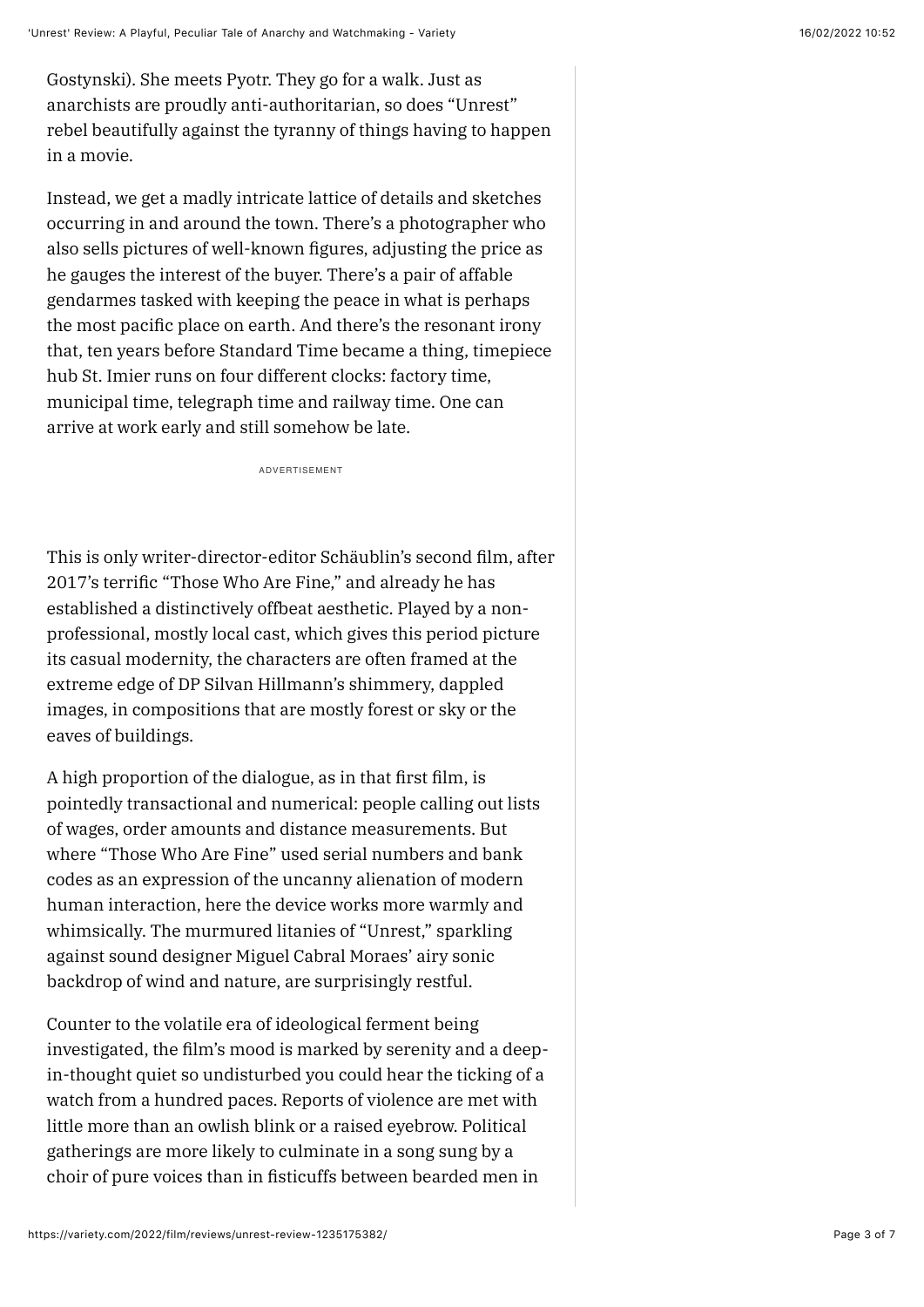Gostynski). She meets Pyotr. They go for a walk. Just as anarchists are proudly anti-authoritarian, so does "Unrest" rebel beautifully against the tyranny of things having to happen in a movie.

Instead, we get a madly intricate lattice of details and sketches occurring in and around the town. There's a photographer who also sells pictures of well-known figures, adjusting the price as he gauges the interest of the buyer. There's a pair of affable gendarmes tasked with keeping the peace in what is perhaps the most pacific place on earth. And there's the resonant irony that, ten years before Standard Time became a thing, timepiece hub St. Imier runs on four different clocks: factory time, municipal time, telegraph time and railway time. One can arrive at work early and still somehow be late.

ADVERTISEMENT

This is only writer-director-editor Schäublin's second film, after 2017's terrific "Those Who Are Fine," and already he has established a distinctively offbeat aesthetic. Played by a nonprofessional, mostly local cast, which gives this period picture its casual modernity, the characters are often framed at the extreme edge of DP Silvan Hillmann's shimmery, dappled images, in compositions that are mostly forest or sky or the eaves of buildings.

A high proportion of the dialogue, as in that first film, is pointedly transactional and numerical: people calling out lists of wages, order amounts and distance measurements. But where "Those Who Are Fine" used serial numbers and bank codes as an expression of the uncanny alienation of modern human interaction, here the device works more warmly and whimsically. The murmured litanies of "Unrest," sparkling against sound designer Miguel Cabral Moraes' airy sonic backdrop of wind and nature, are surprisingly restful.

Counter to the volatile era of ideological ferment being investigated, the film's mood is marked by serenity and a deepin-thought quiet so undisturbed you could hear the ticking of a watch from a hundred paces. Reports of violence are met with little more than an owlish blink or a raised eyebrow. Political gatherings are more likely to culminate in a song sung by a choir of pure voices than in fisticuffs between bearded men in